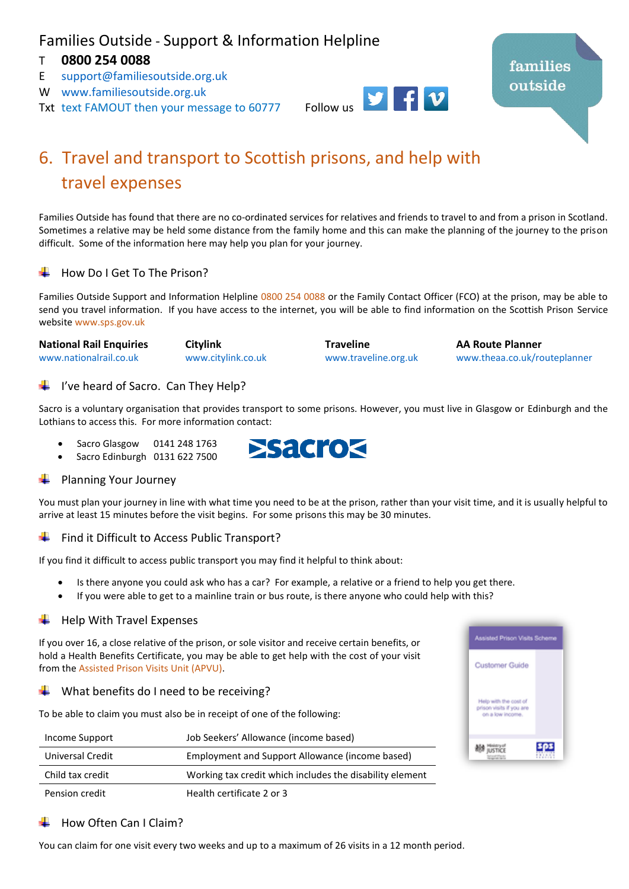## Families Outside - Support & Information Helpline

## T **0800 254 0088**

- E [support@familiesoutside.org.uk](mailto:support@familiesoutside.org.uk)
- W [www.familiesoutside.org.uk](http://www.familiesoutside.org.uk/)
- Txt text FAMOUT then your message to 60777 Follow us



# 6. Travel and transport to Scottish prisons, and help with travel expenses

Families Outside has found that there are no co-ordinated services for relatives and friends to travel to and from a prison in Scotland. Sometimes a relative may be held some distance from the family home and this can make the planning of the journey to the prison difficult. Some of the information here may help you plan for your journey.

## How Do I Get To The Prison?

Families Outside Support and Information Helpline 0800 254 0088 or the Family Contact Officer (FCO) at the prison, may be able to send you travel information. If you have access to the internet, you will be able to find information on the Scottish Prison Service website [www.sps.gov.uk](http://www.sps.gov.uk/)

| <b>National Rail Enquiries</b> | <b>Citylink</b>    | <b>Traveline</b>     | <b>AA Route Planner</b>      |
|--------------------------------|--------------------|----------------------|------------------------------|
| www.nationalrail.co.uk         | www.citylink.co.uk | www.traveline.org.uk | www.theaa.co.uk/routeplanner |

## I've heard of Sacro. Can They Help?

Sacro is a voluntary organisation that provides transport to some prisons. However, you must live in Glasgow or Edinburgh and the Lothians to access this. For more information contact:

- Sacro Glasgow 0141 248 1763
- Sacro Edinburgh 0131 622 7500



## Planning Your Journey

You must plan your journey in line with what time you need to be at the prison, rather than your visit time, and it is usually helpful to arrive at least 15 minutes before the visit begins. For some prisons this may be 30 minutes.

## $\leftarrow$  Find it Difficult to Access Public Transport?

If you find it difficult to access public transport you may find it helpful to think about:

- Is there anyone you could ask who has a car? For example, a relative or a friend to help you get there.
- If you were able to get to a mainline train or bus route, is there anyone who could help with this?

## Help With Travel Expenses

If you over 16, a close relative of the prison, or sole visitor and receive certain benefits, or hold a Health Benefits Certificate, you may be able to get help with the cost of your visit from th[e Assisted Prison Visits Unit \(APVU\).](https://www.gov.uk/staying-in-touch-with-someone-in-prison/get-help-with-travel-costs-to-prison)

#### What benefits do I need to be receiving? ÷

To be able to claim you must also be in receipt of one of the following:

| Income Support          | Job Seekers' Allowance (income based)                    |
|-------------------------|----------------------------------------------------------|
| <b>Universal Credit</b> | Employment and Support Allowance (income based)          |
| Child tax credit        | Working tax credit which includes the disability element |
| Pension credit          | Health certificate 2 or 3                                |



## How Often Can I Claim?

You can claim for one visit every two weeks and up to a maximum of 26 visits in a 12 month period.